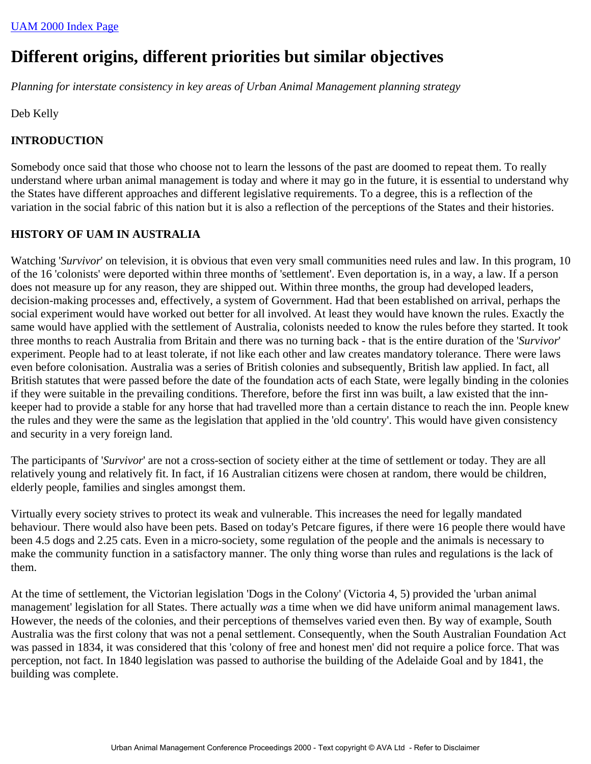# **Different origins, different priorities but similar objectives**

*Planning for interstate consistency in key areas of Urban Animal Management planning strategy*

Deb Kelly

# **INTRODUCTION**

Somebody once said that those who choose not to learn the lessons of the past are doomed to repeat them. To really understand where urban animal management is today and where it may go in the future, it is essential to understand why the States have different approaches and different legislative requirements. To a degree, this is a reflection of the variation in the social fabric of this nation but it is also a reflection of the perceptions of the States and their histories.

## **HISTORY OF UAM IN AUSTRALIA**

Watching '*Survivor*' on television, it is obvious that even very small communities need rules and law. In this program, 10 of the 16 'colonists' were deported within three months of 'settlement'. Even deportation is, in a way, a law. If a person does not measure up for any reason, they are shipped out. Within three months, the group had developed leaders, decision-making processes and, effectively, a system of Government. Had that been established on arrival, perhaps the social experiment would have worked out better for all involved. At least they would have known the rules. Exactly the same would have applied with the settlement of Australia, colonists needed to know the rules before they started. It took three months to reach Australia from Britain and there was no turning back - that is the entire duration of the '*Survivor*' experiment. People had to at least tolerate, if not like each other and law creates mandatory tolerance. There were laws even before colonisation. Australia was a series of British colonies and subsequently, British law applied. In fact, all British statutes that were passed before the date of the foundation acts of each State, were legally binding in the colonies if they were suitable in the prevailing conditions. Therefore, before the first inn was built, a law existed that the innkeeper had to provide a stable for any horse that had travelled more than a certain distance to reach the inn. People knew the rules and they were the same as the legislation that applied in the 'old country'. This would have given consistency and security in a very foreign land.

The participants of '*Survivor*' are not a cross-section of society either at the time of settlement or today. They are all relatively young and relatively fit. In fact, if 16 Australian citizens were chosen at random, there would be children, elderly people, families and singles amongst them.

Virtually every society strives to protect its weak and vulnerable. This increases the need for legally mandated behaviour. There would also have been pets. Based on today's Petcare figures, if there were 16 people there would have been 4.5 dogs and 2.25 cats. Even in a micro-society, some regulation of the people and the animals is necessary to make the community function in a satisfactory manner. The only thing worse than rules and regulations is the lack of them.

At the time of settlement, the Victorian legislation 'Dogs in the Colony' (Victoria 4, 5) provided the 'urban animal management' legislation for all States. There actually *was* a time when we did have uniform animal management laws. However, the needs of the colonies, and their perceptions of themselves varied even then. By way of example, South Australia was the first colony that was not a penal settlement. Consequently, when the South Australian Foundation Act was passed in 1834, it was considered that this 'colony of free and honest men' did not require a police force. That was perception, not fact. In 1840 legislation was passed to authorise the building of the Adelaide Goal and by 1841, the building was complete.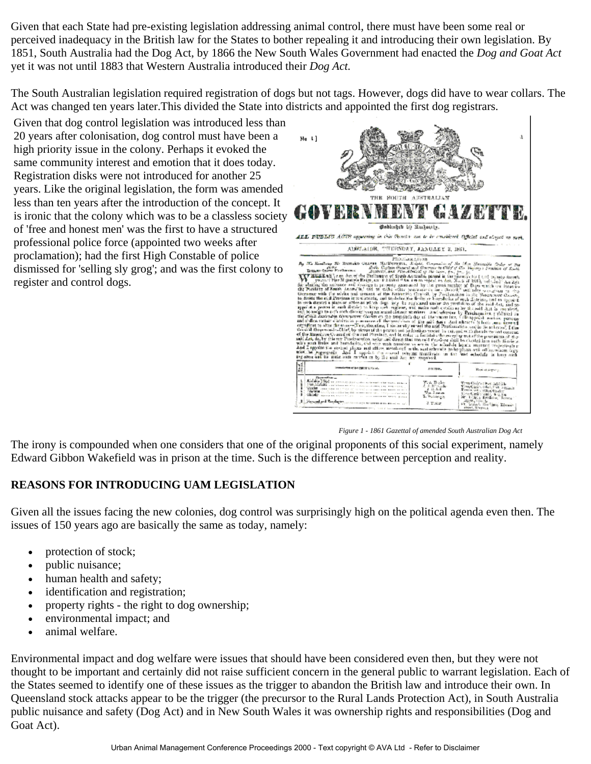Given that each State had pre-existing legislation addressing animal control, there must have been some real or perceived inadequacy in the British law for the States to bother repealing it and introducing their own legislation. By 1851, South Australia had the Dog Act, by 1866 the New South Wales Government had enacted the *Dog and Goat Act* yet it was not until 1883 that Western Australia introduced their *Dog Act.*

The South Australian legislation required registration of dogs but not tags. However, dogs did have to wear collars. The Act was changed ten years later.This divided the State into districts and appointed the first dog registrars.

Given that dog control legislation was introduced less than 20 years after colonisation, dog control must have been a high priority issue in the colony. Perhaps it evoked the same community interest and emotion that it does today. Registration disks were not introduced for another 25 years. Like the original legislation, the form was amended less than ten years after the introduction of the concept. It is ironic that the colony which was to be a classless society of 'free and honest men' was the first to have a structured professional police force (appointed two weeks after proclamation); had the first High Constable of police dismissed for 'selling sly grog'; and was the first colony to register and control dogs.



*Figure 1 - 1861 Gazettal of amended South Australian Dog Act*

The irony is compounded when one considers that one of the original proponents of this social experiment, namely Edward Gibbon Wakefield was in prison at the time. Such is the difference between perception and reality.

#### **REASONS FOR INTRODUCING UAM LEGISLATION**

Given all the issues facing the new colonies, dog control was surprisingly high on the political agenda even then. The issues of 150 years ago are basically the same as today, namely:

- protection of stock;
- public nuisance;
- human health and safety;
- identification and registration;
- property rights the right to dog ownership;
- environmental impact; and
- animal welfare.

Environmental impact and dog welfare were issues that should have been considered even then, but they were not thought to be important and certainly did not raise sufficient concern in the general public to warrant legislation. Each of the States seemed to identify one of these issues as the trigger to abandon the British law and introduce their own. In Queensland stock attacks appear to be the trigger (the precursor to the Rural Lands Protection Act), in South Australia public nuisance and safety (Dog Act) and in New South Wales it was ownership rights and responsibilities (Dog and Goat Act).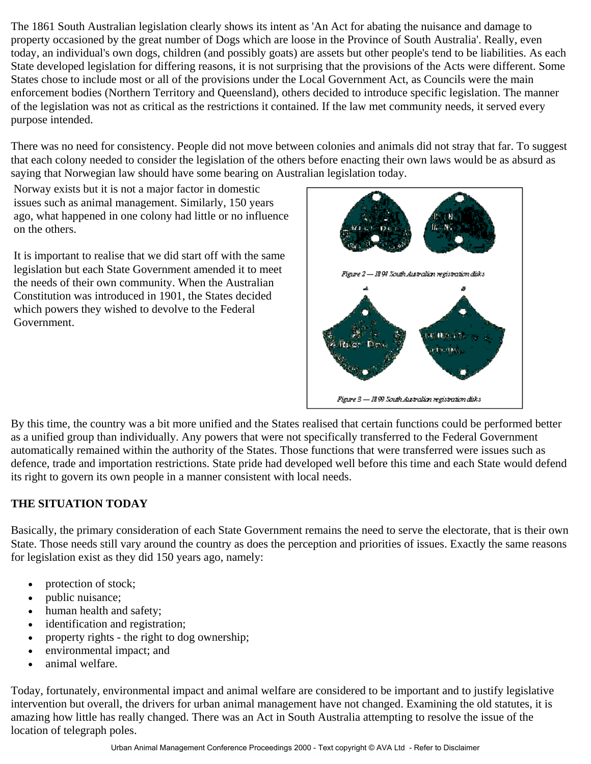The 1861 South Australian legislation clearly shows its intent as 'An Act for abating the nuisance and damage to property occasioned by the great number of Dogs which are loose in the Province of South Australia'. Really, even today, an individual's own dogs, children (and possibly goats) are assets but other people's tend to be liabilities. As each State developed legislation for differing reasons, it is not surprising that the provisions of the Acts were different. Some States chose to include most or all of the provisions under the Local Government Act, as Councils were the main enforcement bodies (Northern Territory and Queensland), others decided to introduce specific legislation. The manner of the legislation was not as critical as the restrictions it contained. If the law met community needs, it served every purpose intended.

There was no need for consistency. People did not move between colonies and animals did not stray that far. To suggest that each colony needed to consider the legislation of the others before enacting their own laws would be as absurd as saying that Norwegian law should have some bearing on Australian legislation today.

Norway exists but it is not a major factor in domestic issues such as animal management. Similarly, 150 years ago, what happened in one colony had little or no influence on the others.

It is important to realise that we did start off with the same legislation but each State Government amended it to meet the needs of their own community. When the Australian Constitution was introduced in 1901, the States decided which powers they wished to devolve to the Federal Government.



By this time, the country was a bit more unified and the States realised that certain functions could be performed better as a unified group than individually. Any powers that were not specifically transferred to the Federal Government automatically remained within the authority of the States. Those functions that were transferred were issues such as defence, trade and importation restrictions. State pride had developed well before this time and each State would defend its right to govern its own people in a manner consistent with local needs.

## **THE SITUATION TODAY**

Basically, the primary consideration of each State Government remains the need to serve the electorate, that is their own State. Those needs still vary around the country as does the perception and priorities of issues. Exactly the same reasons for legislation exist as they did 150 years ago, namely:

- protection of stock;
- public nuisance;
- human health and safety;
- identification and registration;
- property rights the right to dog ownership;
- environmental impact; and
- animal welfare.

Today, fortunately, environmental impact and animal welfare are considered to be important and to justify legislative intervention but overall, the drivers for urban animal management have not changed. Examining the old statutes, it is amazing how little has really changed. There was an Act in South Australia attempting to resolve the issue of the location of telegraph poles.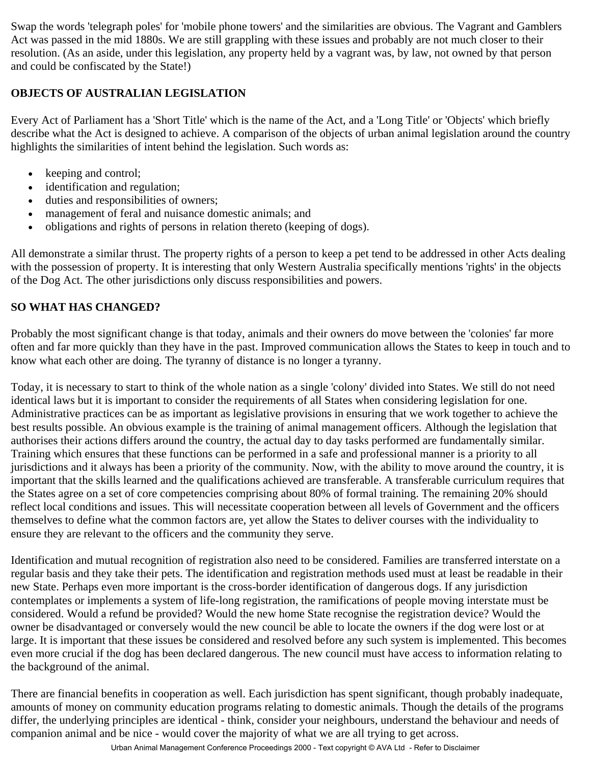Swap the words 'telegraph poles' for 'mobile phone towers' and the similarities are obvious. The Vagrant and Gamblers Act was passed in the mid 1880s. We are still grappling with these issues and probably are not much closer to their resolution. (As an aside, under this legislation, any property held by a vagrant was, by law, not owned by that person and could be confiscated by the State!)

## **OBJECTS OF AUSTRALIAN LEGISLATION**

Every Act of Parliament has a 'Short Title' which is the name of the Act, and a 'Long Title' or 'Objects' which briefly describe what the Act is designed to achieve. A comparison of the objects of urban animal legislation around the country highlights the similarities of intent behind the legislation. Such words as:

- keeping and control;
- identification and regulation;
- duties and responsibilities of owners;
- management of feral and nuisance domestic animals; and
- obligations and rights of persons in relation thereto (keeping of dogs).

All demonstrate a similar thrust. The property rights of a person to keep a pet tend to be addressed in other Acts dealing with the possession of property. It is interesting that only Western Australia specifically mentions 'rights' in the objects of the Dog Act. The other jurisdictions only discuss responsibilities and powers.

## **SO WHAT HAS CHANGED?**

Probably the most significant change is that today, animals and their owners do move between the 'colonies' far more often and far more quickly than they have in the past. Improved communication allows the States to keep in touch and to know what each other are doing. The tyranny of distance is no longer a tyranny.

Today, it is necessary to start to think of the whole nation as a single 'colony' divided into States. We still do not need identical laws but it is important to consider the requirements of all States when considering legislation for one. Administrative practices can be as important as legislative provisions in ensuring that we work together to achieve the best results possible. An obvious example is the training of animal management officers. Although the legislation that authorises their actions differs around the country, the actual day to day tasks performed are fundamentally similar. Training which ensures that these functions can be performed in a safe and professional manner is a priority to all jurisdictions and it always has been a priority of the community. Now, with the ability to move around the country, it is important that the skills learned and the qualifications achieved are transferable. A transferable curriculum requires that the States agree on a set of core competencies comprising about 80% of formal training. The remaining 20% should reflect local conditions and issues. This will necessitate cooperation between all levels of Government and the officers themselves to define what the common factors are, yet allow the States to deliver courses with the individuality to ensure they are relevant to the officers and the community they serve.

Identification and mutual recognition of registration also need to be considered. Families are transferred interstate on a regular basis and they take their pets. The identification and registration methods used must at least be readable in their new State. Perhaps even more important is the cross-border identification of dangerous dogs. If any jurisdiction contemplates or implements a system of life-long registration, the ramifications of people moving interstate must be considered. Would a refund be provided? Would the new home State recognise the registration device? Would the owner be disadvantaged or conversely would the new council be able to locate the owners if the dog were lost or at large. It is important that these issues be considered and resolved before any such system is implemented. This becomes even more crucial if the dog has been declared dangerous. The new council must have access to information relating to the background of the animal.

There are financial benefits in cooperation as well. Each jurisdiction has spent significant, though probably inadequate, amounts of money on community education programs relating to domestic animals. Though the details of the programs differ, the underlying principles are identical - think, consider your neighbours, understand the behaviour and needs of companion animal and be nice - would cover the majority of what we are all trying to get across.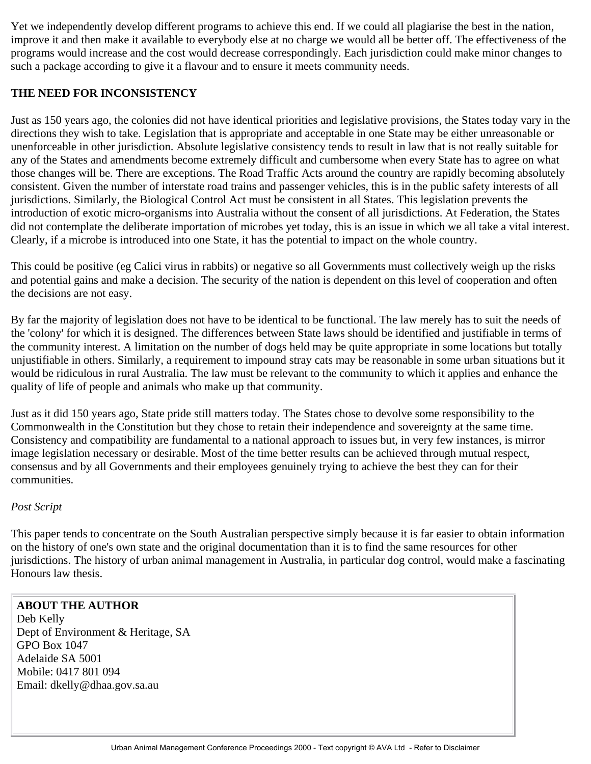Yet we independently develop different programs to achieve this end. If we could all plagiarise the best in the nation, improve it and then make it available to everybody else at no charge we would all be better off. The effectiveness of the programs would increase and the cost would decrease correspondingly. Each jurisdiction could make minor changes to such a package according to give it a flavour and to ensure it meets community needs.

## **THE NEED FOR INCONSISTENCY**

Just as 150 years ago, the colonies did not have identical priorities and legislative provisions, the States today vary in the directions they wish to take. Legislation that is appropriate and acceptable in one State may be either unreasonable or unenforceable in other jurisdiction. Absolute legislative consistency tends to result in law that is not really suitable for any of the States and amendments become extremely difficult and cumbersome when every State has to agree on what those changes will be. There are exceptions. The Road Traffic Acts around the country are rapidly becoming absolutely consistent. Given the number of interstate road trains and passenger vehicles, this is in the public safety interests of all jurisdictions. Similarly, the Biological Control Act must be consistent in all States. This legislation prevents the introduction of exotic micro-organisms into Australia without the consent of all jurisdictions. At Federation, the States did not contemplate the deliberate importation of microbes yet today, this is an issue in which we all take a vital interest. Clearly, if a microbe is introduced into one State, it has the potential to impact on the whole country.

This could be positive (eg Calici virus in rabbits) or negative so all Governments must collectively weigh up the risks and potential gains and make a decision. The security of the nation is dependent on this level of cooperation and often the decisions are not easy.

By far the majority of legislation does not have to be identical to be functional. The law merely has to suit the needs of the 'colony' for which it is designed. The differences between State laws should be identified and justifiable in terms of the community interest. A limitation on the number of dogs held may be quite appropriate in some locations but totally unjustifiable in others. Similarly, a requirement to impound stray cats may be reasonable in some urban situations but it would be ridiculous in rural Australia. The law must be relevant to the community to which it applies and enhance the quality of life of people and animals who make up that community.

Just as it did 150 years ago, State pride still matters today. The States chose to devolve some responsibility to the Commonwealth in the Constitution but they chose to retain their independence and sovereignty at the same time. Consistency and compatibility are fundamental to a national approach to issues but, in very few instances, is mirror image legislation necessary or desirable. Most of the time better results can be achieved through mutual respect, consensus and by all Governments and their employees genuinely trying to achieve the best they can for their communities.

#### *Post Script*

This paper tends to concentrate on the South Australian perspective simply because it is far easier to obtain information on the history of one's own state and the original documentation than it is to find the same resources for other jurisdictions. The history of urban animal management in Australia, in particular dog control, would make a fascinating Honours law thesis.

# **ABOUT THE AUTHOR**

Deb Kelly Dept of Environment & Heritage, SA GPO Box 1047 Adelaide SA 5001 Mobile: 0417 801 094 Email: dkelly@dhaa.gov.sa.au